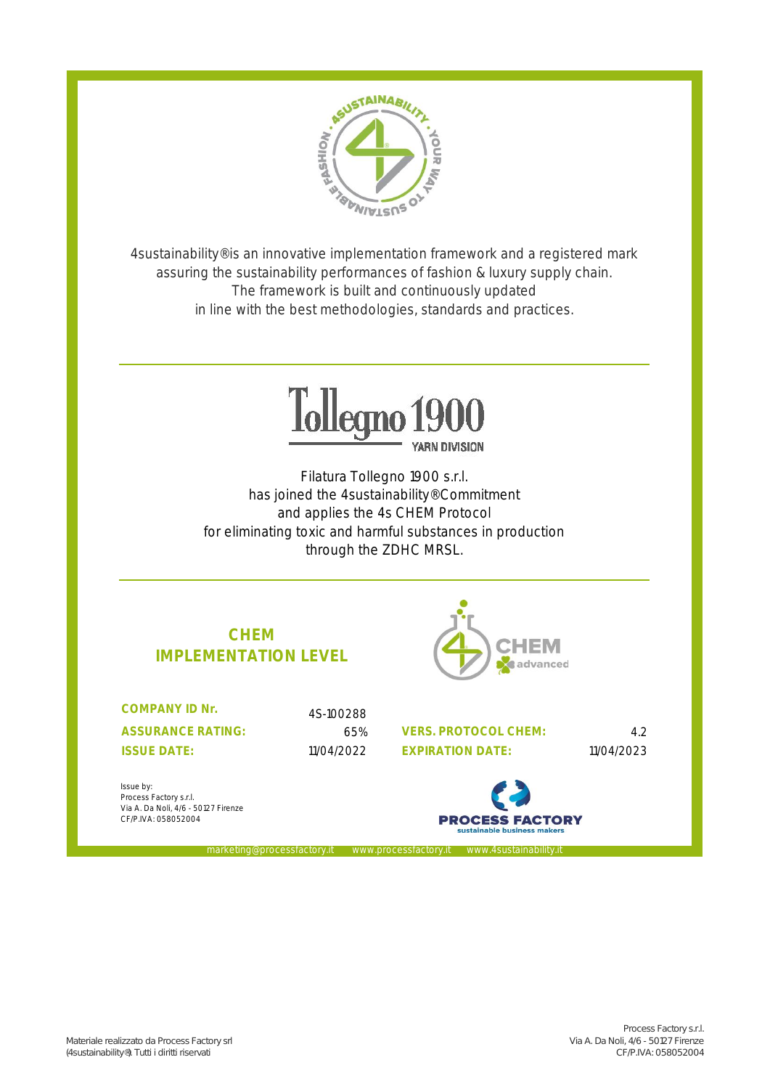

4sustainability® is an innovative implementation framework and a registered mark assuring the sustainability performances of fashion & luxury supply chain. The framework is built and continuously updated in line with the best methodologies, standards and practices.



Filatura Tollegno 1900 s.r.l. has joined the 4sustainability® Commitment and applies the 4s CHEM Protocol for eliminating toxic and harmful substances in production through the ZDHC MRSL.

marketing@processfactory.it www.processfactory.it www.4sustainability.it

# **CHEM IMPLEMENTATION LEVEL**

**ASSURANCE RATING: COMPANY ID Nr.** 

4S-100288

65% 4.2 **VERS. PROTOCOL CHEM:** 11/04/2022 11/04/2023 **ISSUE DATE: EXPIRATION DATE:**

Issue by: Process Factory s.r.l. Via A. Da Noli, 4/6 - 50127 Firenze CF/P.IVA: 058052004

**PROCESS FACTORY** 

HEM

advanced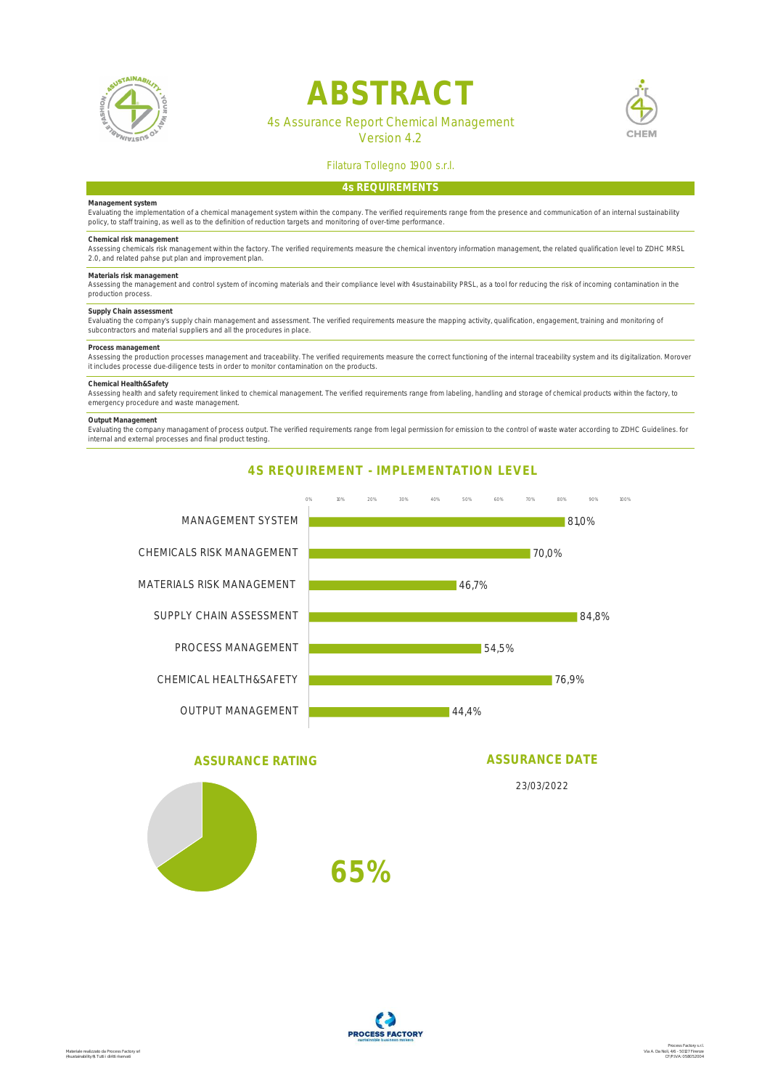

# **ABSTRACT**

# 4s Assurance Report Chemical Management

Version 4.2



# Filatura Tollegno 1900 s.r.l.

# **4s REQUIREMENTS**

### **Management system**

Evaluating the implementation of a chemical management system within the company. The verified requirements range from the presence and communication of an internal sustainability<br>policy, to staff training, as well as to t

# **Chemical risk management**

Assessing chemicals risk management within the factory. The verified requirements measure the chemical inventory information management, the related qualification level to ZDHC MRSL<br>2.0, and related pahse put plan and impr

**Materials risk management**  Assessing the management and control system of incoming materials and their compliance level with 4sustainability PRSL, as a tool for reducing the risk of incoming contamination in the production process.

### **Supply Chain assessment**

Evaluating the company's supply chain management and assessment. The verified requirements measure the mapping activity, qualification, engagement, training and monitoring of<br>subcontractors and material suppliers and all t

# **Process management**

Assessing the production processes management and traceability. The verified requirements measure the correct functioning of the internal traceability system and its digitalization. Morover<br>it includes processe due-diligen

Chemical Health&Safety<br>Assessing health and safety requirement linked to chemical management. The verified requirements range from labeling, handling and storage of chemical products within the factory, to emergency procedure and waste management.

### **Output Management**

Evaluating the company managament of process output. The verified requirements range from legal permission for emission to the control of waste water according to ZDHC Guidelines. for<br>internal and external processes and fi

**4S REQUIREMENT - IMPLEMENTATION LEVEL**

# 23/03/2022 **ASSURANCE DATE** 81,0% 70,0% 46,7% 84,8% 54,5% 76,9% 44,4% 0% 10% 20% 30% 40% 50% 60% 70% 80% 90% 100% MANAGEMENT SYSTEM CHEMICALS RISK MANAGEMENT MATERIALS RISK MANAGEMENT SUPPLY CHAIN ASSESSMENT PROCESS MANAGEMENT CHEMICAL HEALTH&SAFETY OUTPUT MANAGEMENT **65% ASSURANCE RATING**

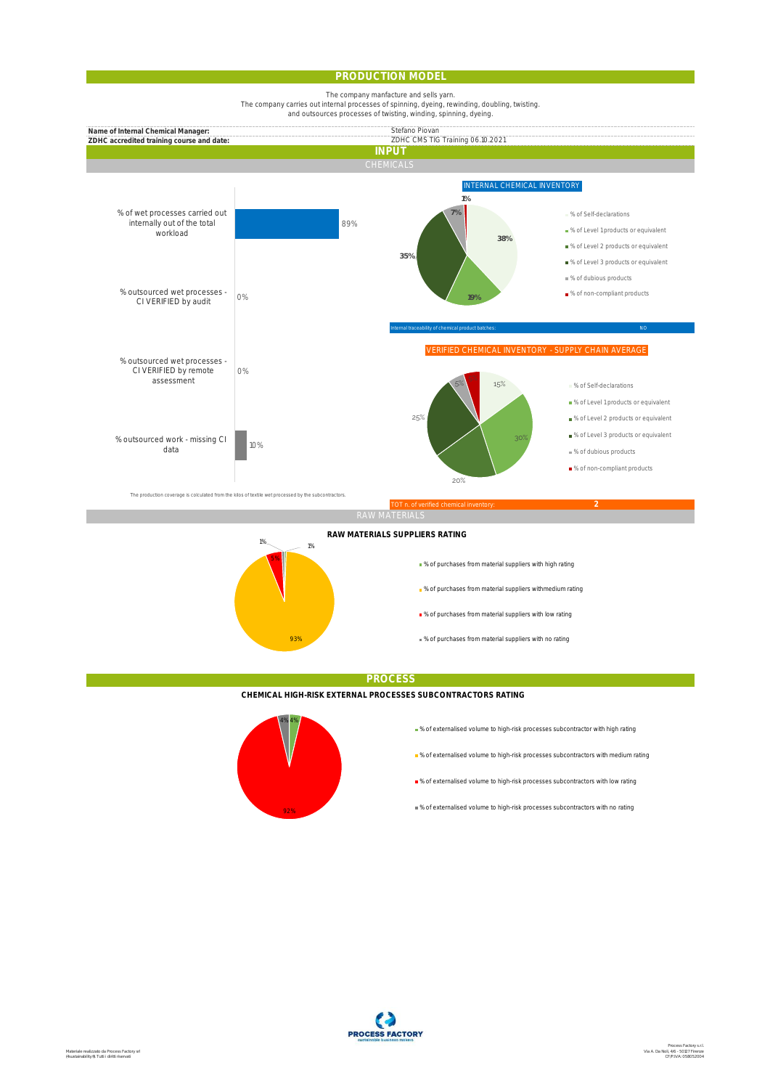### **PRODUCTION MODEL**

The company manfacture and sells yarn.

The company carries out internal processes of spinning, dyeing, rewinding, doubling, twisting. and outsources processes of twisting, winding, spinning, dyeing.



**PROCESS**

**CHEMICAL HIGH-RISK EXTERNAL PROCESSES SUBCONTRACTORS RATING**



93%

% of externalised volume to high-risk processes subcontractor with high rating

% of purchases from material suppliers with no rating

- % of externalised volume to high-risk processes subcontractors with medium rating
- % of externalised volume to high-risk processes subcontractors with low rating
- % of externalised volume to high-risk processes subcontractors with no rating